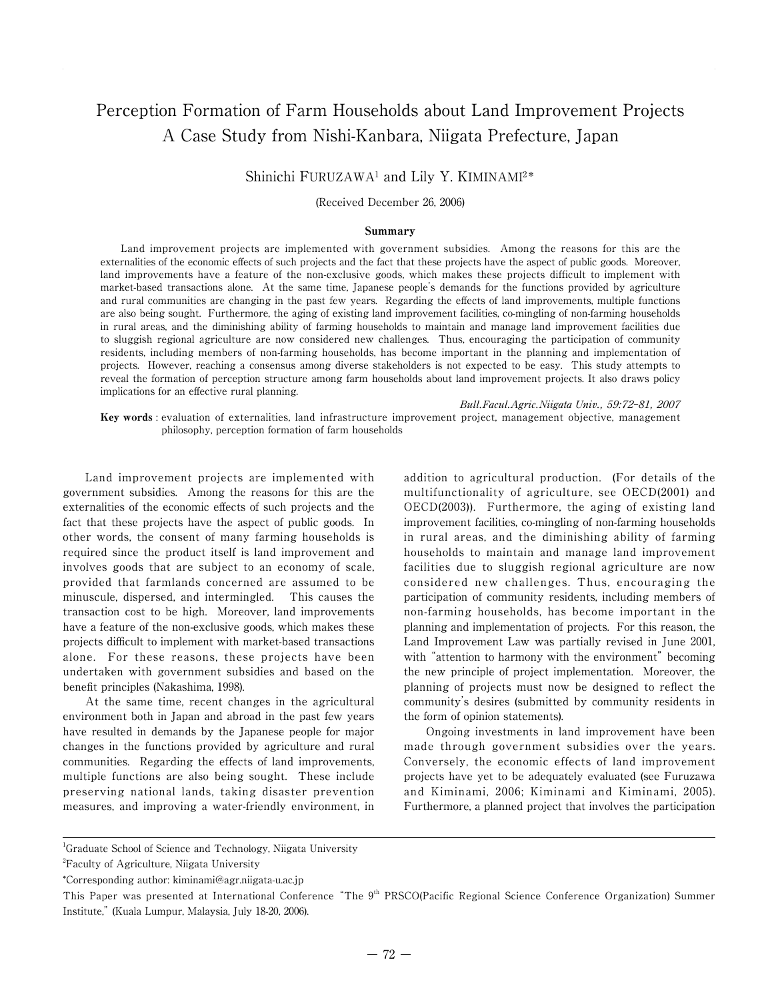# Perception Formation of Farm Households about Land Improvement Projects A Case Study from Nishi-Kanbara, Niigata Prefecture, Japan

# Shinichi FURUZAWA1 and Lily Y. KIMINAMI2\*

#### (Received December 26, 2006)

#### Summary

Land improvement projects are implemented with government subsidies. Among the reasons for this are the externalities of the economic effects of such projects and the fact that these projects have the aspect of public goods. Moreover, land improvements have a feature of the non-exclusive goods, which makes these projects difficult to implement with market-based transactions alone. At the same time, Japanese people's demands for the functions provided by agriculture and rural communities are changing in the past few years. Regarding the effects of land improvements, multiple functions are also being sought. Furthermore, the aging of existing land improvement facilities, co-mingling of non-farming households in rural areas, and the diminishing ability of farming households to maintain and manage land improvement facilities due to sluggish regional agriculture are now considered new challenges. Thus, encouraging the participation of community residents, including members of non-farming households, has become important in the planning and implementation of projects. However, reaching a consensus among diverse stakeholders is not expected to be easy. This study attempts to reveal the formation of perception structure among farm households about land improvement projects. It also draws policy implications for an effective rural planning.

Bull.Facul.Agric.Niigata Univ., 59:72-81, 2007

Key words : evaluation of externalities, land infrastructure improvement project, management objective, management philosophy, perception formation of farm households

Land improvement projects are implemented with government subsidies. Among the reasons for this are the externalities of the economic effects of such projects and the fact that these projects have the aspect of public goods. In other words, the consent of many farming households is required since the product itself is land improvement and involves goods that are subject to an economy of scale, provided that farmlands concerned are assumed to be minuscule, dispersed, and intermingled. This causes the transaction cost to be high. Moreover, land improvements have a feature of the non-exclusive goods, which makes these projects difficult to implement with market-based transactions alone. For these reasons, these projects have been undertaken with government subsidies and based on the benefit principles (Nakashima, 1998).

At the same time, recent changes in the agricultural environment both in Japan and abroad in the past few years have resulted in demands by the Japanese people for major changes in the functions provided by agriculture and rural communities. Regarding the effects of land improvements, multiple functions are also being sought. These include preserving national lands, taking disaster prevention measures, and improving a water-friendly environment, in

addition to agricultural production. (For details of the multifunctionality of agriculture, see OECD(2001) and OECD(2003)). Furthermore, the aging of existing land improvement facilities, co-mingling of non-farming households in rural areas, and the diminishing ability of farming households to maintain and manage land improvement facilities due to sluggish regional agriculture are now considered new challenges. Thus, encouraging the participation of community residents, including members of non-farming households, has become important in the planning and implementation of projects. For this reason, the Land Improvement Law was partially revised in June 2001, with "attention to harmony with the environment" becoming the new principle of project implementation. Moreover, the planning of projects must now be designed to reflect the community's desires (submitted by community residents in the form of opinion statements).

Ongoing investments in land improvement have been made through government subsidies over the years. Conversely, the economic effects of land improvement projects have yet to be adequately evaluated (see Furuzawa and Kiminami, 2006; Kiminami and Kiminami, 2005). Furthermore, a planned project that involves the participation

<sup>1</sup> Graduate School of Science and Technology, Niigata University

<sup>&</sup>lt;sup>2</sup>Faculty of Agriculture, Niigata University

<sup>\*</sup> Corresponding author: kiminami@agr.niigata-u.ac.jp

This Paper was presented at International Conference "The 9<sup>th</sup> PRSCO(Pacific Regional Science Conference Organization) Summer Institute," (Kuala Lumpur, Malaysia, July 18-20, 2006).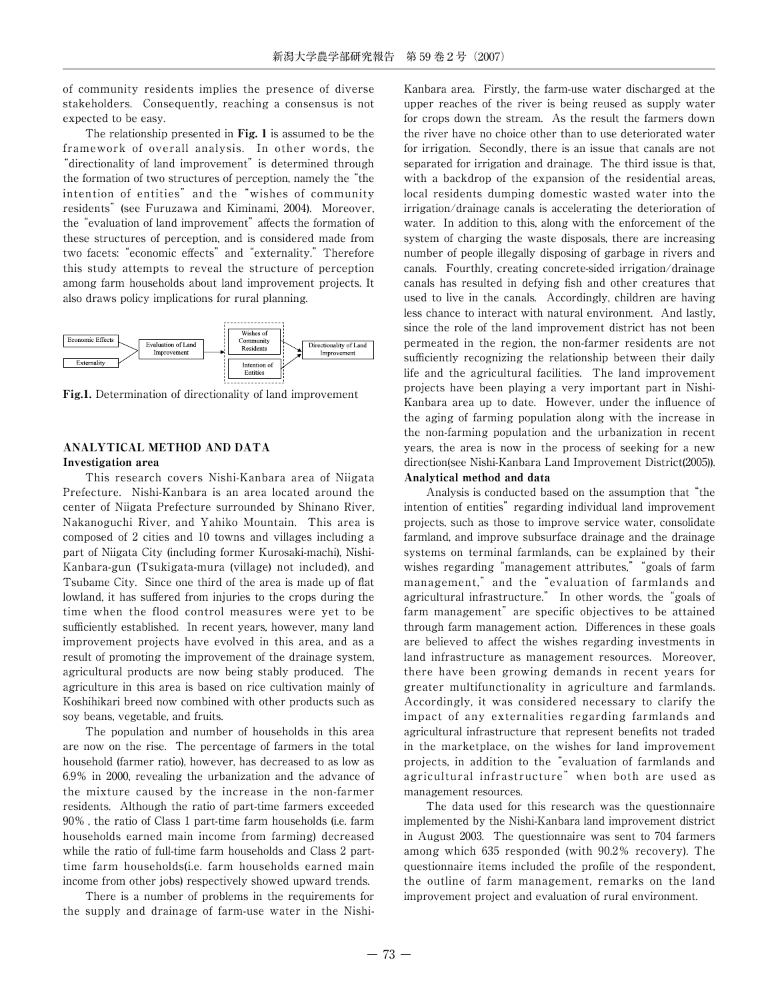of community residents implies the presence of diverse stakeholders. Consequently, reaching a consensus is not expected to be easy.

The relationship presented in Fig. 1 is assumed to be the framework of overall analysis. In other words, the "directionality of land improvement" is determined through the formation of two structures of perception, namely the "the intention of entities" and the "wishes of community residents" (see Furuzawa and Kiminami, 2004). Moreover, the "evaluation of land improvement" affects the formation of these structures of perception, and is considered made from two facets: "economic effects" and "externality." Therefore this study attempts to reveal the structure of perception among farm households about land improvement projects. It also draws policy implications for rural planning.



Fig.1. Determination of directionality of land improvement

# ANALYTICAL METHOD AND DATA

Investigation area

This research covers Nishi-Kanbara area of Niigata Prefecture. Nishi-Kanbara is an area located around the center of Niigata Prefecture surrounded by Shinano River, Nakanoguchi River, and Yahiko Mountain. This area is composed of 2 cities and 10 towns and villages including a part of Niigata City (including former Kurosaki-machi), Nishi-Kanbara-gun (Tsukigata-mura (village) not included), and Tsubame City. Since one third of the area is made up of flat lowland, it has suffered from injuries to the crops during the time when the flood control measures were yet to be sufficiently established. In recent years, however, many land improvement projects have evolved in this area, and as a result of promoting the improvement of the drainage system, agricultural products are now being stably produced. The agriculture in this area is based on rice cultivation mainly of Koshihikari breed now combined with other products such as soy beans, vegetable, and fruits.

The population and number of households in this area are now on the rise. The percentage of farmers in the total household (farmer ratio), however, has decreased to as low as 6.9% in 2000, revealing the urbanization and the advance of the mixture caused by the increase in the non-farmer residents. Although the ratio of part-time farmers exceeded 90% , the ratio of Class 1 part-time farm households (i.e. farm households earned main income from farming) decreased while the ratio of full-time farm households and Class 2 parttime farm households(i.e. farm households earned main income from other jobs) respectively showed upward trends.

There is a number of problems in the requirements for the supply and drainage of farm-use water in the NishiKanbara area. Firstly, the farm-use water discharged at the upper reaches of the river is being reused as supply water for crops down the stream. As the result the farmers down the river have no choice other than to use deteriorated water for irrigation. Secondly, there is an issue that canals are not separated for irrigation and drainage. The third issue is that, with a backdrop of the expansion of the residential areas, local residents dumping domestic wasted water into the irrigation/drainage canals is accelerating the deterioration of water. In addition to this, along with the enforcement of the system of charging the waste disposals, there are increasing number of people illegally disposing of garbage in rivers and canals. Fourthly, creating concrete-sided irrigation/drainage canals has resulted in defying fish and other creatures that used to live in the canals. Accordingly, children are having less chance to interact with natural environment. And lastly, since the role of the land improvement district has not been permeated in the region, the non-farmer residents are not sufficiently recognizing the relationship between their daily life and the agricultural facilities. The land improvement projects have been playing a very important part in Nishi-Kanbara area up to date. However, under the influence of the aging of farming population along with the increase in the non-farming population and the urbanization in recent years, the area is now in the process of seeking for a new direction(see Nishi-Kanbara Land Improvement District(2005)). Analytical method and data

Analysis is conducted based on the assumption that "the intention of entities" regarding individual land improvement projects, such as those to improve service water, consolidate farmland, and improve subsurface drainage and the drainage systems on terminal farmlands, can be explained by their wishes regarding "management attributes," "goals of farm management," and the "evaluation of farmlands and agricultural infrastructure." In other words, the "goals of farm management" are specific objectives to be attained through farm management action. Differences in these goals are believed to affect the wishes regarding investments in land infrastructure as management resources. Moreover, there have been growing demands in recent years for greater multifunctionality in agriculture and farmlands. Accordingly, it was considered necessary to clarify the impact of any externalities regarding farmlands and agricultural infrastructure that represent benefits not traded in the marketplace, on the wishes for land improvement projects, in addition to the "evaluation of farmlands and agricultural infrastructure" when both are used as management resources.

The data used for this research was the questionnaire implemented by the Nishi-Kanbara land improvement district in August 2003. The questionnaire was sent to 704 farmers among which 635 responded (with 90.2% recovery). The questionnaire items included the profile of the respondent, the outline of farm management, remarks on the land improvement project and evaluation of rural environment.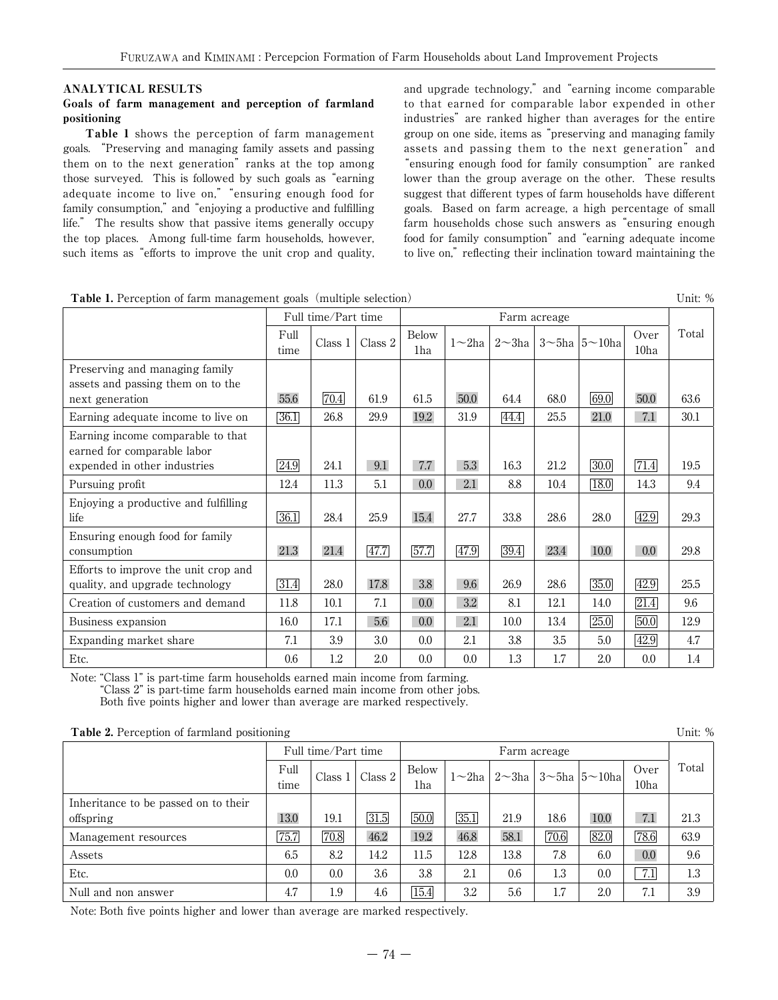## ANALYTICAL RESULTS

### Goals of farm management and perception of farmland positioning

Table 1 shows the perception of farm management goals. "Preserving and managing family assets and passing them on to the next generation" ranks at the top among those surveyed. This is followed by such goals as "earning adequate income to live on," "ensuring enough food for family consumption," and "enjoying a productive and fulfilling life." The results show that passive items generally occupy the top places. Among full-time farm households, however, such items as "efforts to improve the unit crop and quality, and upgrade technology," and "earning income comparable to that earned for comparable labor expended in other industries" are ranked higher than averages for the entire group on one side, items as "preserving and managing family assets and passing them to the next generation" and "ensuring enough food for family consumption" are ranked lower than the group average on the other. These results suggest that different types of farm households have different goals. Based on farm acreage, a high percentage of small farm households chose such answers as "ensuring enough food for family consumption" and "earning adequate income to live on," reflecting their inclination toward maintaining the

| <b>Table 1.</b> Perception of farm management goals (multiple selection) |  | Unit: % |
|--------------------------------------------------------------------------|--|---------|
|--------------------------------------------------------------------------|--|---------|

Full time/Part time Farm acreage Full  $\Big|\bigcap_{\text{Clos } 1}\Big|\bigcap_{\text{Clos } 2}\Big|$  Below  $\Big|\big|_{\text{Clos } 2}$   $\Big|\big|_{\text{Clos } 2}$   $\Big|\big|_{\text{Clos } 2}$   $\Big|\big|_{\text{Clos } 2}$   $\Big|\big|_{\text{Clos } 2}$   $\Big|_{\text{Clos } 2}$   $\Big|_{\text{Clos } 2}$   $\Big|_{\text{Clos } 2}$   $\Big|_{\text{Clos } 2}$   $\Big|_{\text{Clos } 2}$   $\Big|_{\$  $\begin{array}{c|c}\n\text{Full} \\
\text{times 1} & \text{Class 2} & \text{Below} \\
\text{1} & \text{1} & \text{1} \\
\end{array}$  $\frac{1}{1}$ ha  $\left| 1 \right| 2$   $\sim$ 3ha  $\left| 3 \right| 5$   $\sim$  10ha  $\left| 0 \right| 1$ 10ha Preserving and managing family assets and passing them on to the next generation 155.6  $\boxed{70.4}$  61.9 61.5 50.0 64.4 68.0  $\boxed{69.0}$  50.0 63.6 Earning adequate income to live on 36.1 26.8 29.9 19.2 31.9 44.4 25.5 21.0 7.1 30.1 Earning income comparable to that earned for comparable labor expended in other industries  $\boxed{24.9}$  | 24.1 | 9.1 | 7.7 | 5.3 | 16.3 | 21.2 |  $\boxed{30.0}$  |  $\boxed{71.4}$  | 19.5 Pursuing profit 12.4 11.3 5.1 0.0 2.1 8.8 10.4 13.0 14.3 9.4 Enjoying a productive and fulfilling life 36.1 28.4 25.9 15.4 27.7 33.8 28.6 28.0 42.9 29.3 Ensuring enough food for family consumption 29.8 21.3 21.4  $47.7$   $57.7$   $47.9$   $39.4$  23.4 10.0 0.0 29.8 Efforts to improve the unit crop and quality, and upgrade technology  $\boxed{31.4}$  28.0  $\boxed{17.8}$  3.8  $\boxed{9.6}$  26.9  $\boxed{28.6}$   $\boxed{35.0}$   $\boxed{42.9}$  25.5 Creation of customers and demand 11.8 10.1 7.1 0.0 3.2 8.1 12.1 14.0  $\boxed{21.4}$  9.6 Business expansion 16.0 17.1 5.6 0.0 2.1 10.0 13.4 2.5.0 50.0 12.9 Expanding market share 7.1 3.9 3.0 0.0 2.1 3.8 3.5 5.0 42.9 4.7 Etc. 0.6 1.2 2.0 0.0 0.0 1.3 1.7 2.0 0.0 1.4

Note: "Class 1" is part-time farm households earned main income from farming.

"Class 2" is part-time farm households earned main income from other jobs.

Both five points higher and lower than average are marked respectively.

|  |  | <b>Table 2.</b> Perception of farmland positioning |
|--|--|----------------------------------------------------|
|  |  |                                                    |

| <b>Table 2.</b> Perception of farmland positioning |      |                     |         |                   |                         |               |      |               |                  |       |
|----------------------------------------------------|------|---------------------|---------|-------------------|-------------------------|---------------|------|---------------|------------------|-------|
|                                                    |      | Full time/Part time |         |                   | Farm acreage            |               |      |               |                  |       |
|                                                    | Full | Class 1             | Class 2 | <b>Below</b>      | $1\sim2$ ha $\parallel$ | $2 \sim 3$ ha |      | 3∼5ha  5∼10ha | Over             | Total |
|                                                    | time |                     |         | 1ha               |                         |               |      |               | 10 <sub>ha</sub> |       |
| Inheritance to be passed on to their               |      |                     |         |                   |                         |               |      |               |                  |       |
| offspring                                          | 13.0 | 19.1                | 31.5    | $\overline{50.0}$ | 35.1                    | 21.9          | 18.6 | 10.0          | 7.1              | 21.3  |
| Management resources                               | 75.7 | 70.8                | 46.2    | 19.2              | 46.8                    | 58.1          | 70.6 | 82.0          | 78.6             | 63.9  |
| Assets                                             | 6.5  | 8.2                 | 14.2    | 11.5              | 12.8                    | 13.8          | 7.8  | 6.0           | 0.0              | 9.6   |
| Etc.                                               | 0.0  | 0.0                 | 3.6     | 3.8               | 2.1                     | 0.6           | 1.3  | 0.0           | 7.1              | 1.3   |
| Null and non answer                                | 4.7  | 1.9                 | 4.6     | 15.4              | 3.2                     | 5.6           | 1.7  | 2.0           | 7.1              | 3.9   |

Note: Both five points higher and lower than average are marked respectively.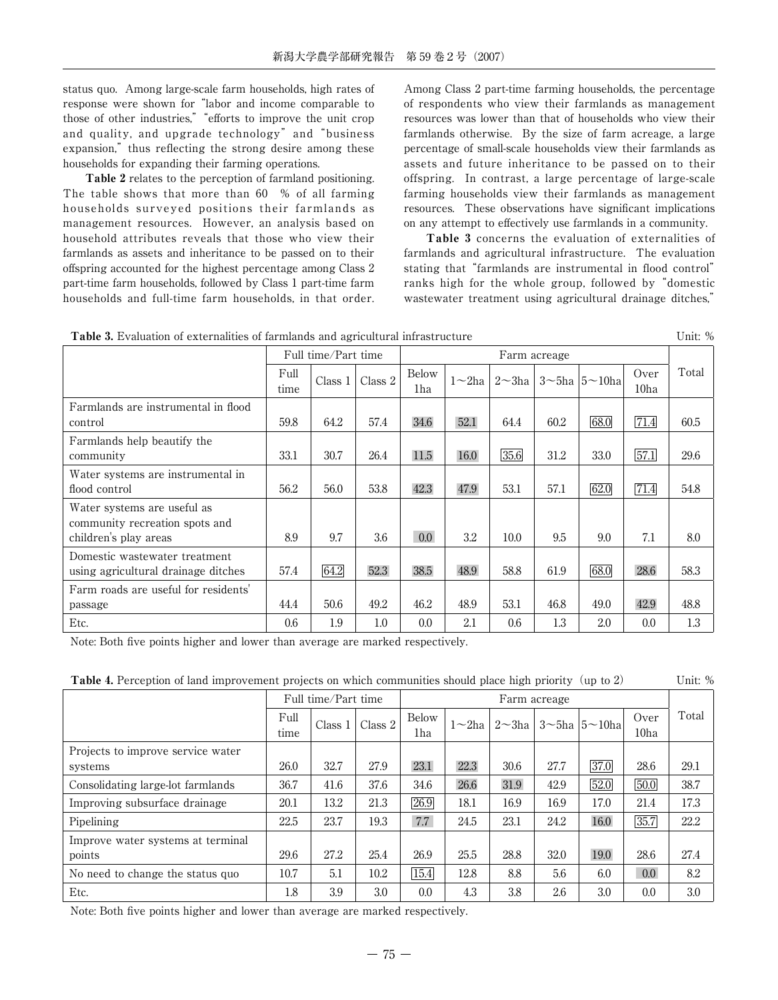status quo. Among large-scale farm households, high rates of response were shown for "labor and income comparable to those of other industries," "efforts to improve the unit crop and quality, and upgrade technology" and "business expansion," thus reflecting the strong desire among these households for expanding their farming operations.

Table 2 relates to the perception of farmland positioning. The table shows that more than 60 % of all farming households surveyed positions their farmlands as management resources. However, an analysis based on household attributes reveals that those who view their farmlands as assets and inheritance to be passed on to their offspring accounted for the highest percentage among Class 2 part-time farm households, followed by Class 1 part-time farm households and full-time farm households, in that order. Among Class 2 part-time farming households, the percentage of respondents who view their farmlands as management resources was lower than that of households who view their farmlands otherwise. By the size of farm acreage, a large percentage of small-scale households view their farmlands as assets and future inheritance to be passed on to their offspring. In contrast, a large percentage of large-scale farming households view their farmlands as management resources. These observations have significant implications on any attempt to effectively use farmlands in a community.

Table 3 concerns the evaluation of externalities of farmlands and agricultural infrastructure. The evaluation stating that "farmlands are instrumental in flood control" ranks high for the whole group, followed by "domestic wastewater treatment using agricultural drainage ditches,"

| <b>Table 3.</b> Evaluation of externalities of farmlands and agricultural infrastructure | Unit: % |
|------------------------------------------------------------------------------------------|---------|
|------------------------------------------------------------------------------------------|---------|

|                                                                      |              | Full time/Part time |         |                  |              |               | Farm acreage |                              |                          |       |
|----------------------------------------------------------------------|--------------|---------------------|---------|------------------|--------------|---------------|--------------|------------------------------|--------------------------|-------|
|                                                                      | Full<br>time | Class 1             | Class 2 | Below<br>1ha     | $1\sim 2$ ha | $2 \sim 3$ ha |              | $3 \sim 5$ ha $5 \sim 10$ ha | Over<br>10 <sub>ha</sub> | Total |
| Farmlands are instrumental in flood                                  |              |                     |         |                  |              |               |              |                              |                          |       |
| control                                                              | 59.8         | 64.2                | 57.4    | 34.6             | 52.1         | 64.4          | 60.2         | 68.0                         | $\overline{71.4}$        | 60.5  |
| Farmlands help beautify the                                          |              |                     |         |                  |              |               |              |                              |                          |       |
| community                                                            | 33.1         | 30.7                | 26.4    | 11.5             | 16.0         | 35.6          | 31.2         | 33.0                         | $\overline{57.1}$        | 29.6  |
| Water systems are instrumental in<br>flood control                   | 56.2         | 56.0                | 53.8    | 42.3             | 47.9         | 53.1          | 57.1         | 62.0                         | 71.4                     | 54.8  |
| Water systems are useful as<br>community recreation spots and        |              |                     |         |                  |              |               |              |                              |                          |       |
| children's play areas                                                | 8.9          | 9.7                 | 3.6     | 0.0 <sub>1</sub> | 3.2          | 10.0          | 9.5          | 9.0                          | 7.1                      | 8.0   |
| Domestic wastewater treatment<br>using agricultural drainage ditches | 57.4         | 64.2                | 52.3    | 38.5             | 48.9         | 58.8          | 61.9         | 68.0                         | 28.6                     | 58.3  |
| Farm roads are useful for residents'                                 |              |                     |         |                  |              |               |              |                              |                          |       |
| passage                                                              | 44.4         | 50.6                | 49.2    | 46.2             | 48.9         | 53.1          | 46.8         | 49.0                         | 42.9                     | 48.8  |
| Etc.                                                                 | 0.6          | 1.9                 | 1.0     | 0.0              | 2.1          | 0.6           | 1.3          | 2.0                          | 0.0                      | 1.3   |

Note: Both five points higher and lower than average are marked respectively.

|  |  |  |  |  |  | <b>Table 4.</b> Perception of land improvement projects on which communities should place high priority (up to 2) |  |  |  |  |  |  | Unit: % |  |
|--|--|--|--|--|--|-------------------------------------------------------------------------------------------------------------------|--|--|--|--|--|--|---------|--|
|--|--|--|--|--|--|-------------------------------------------------------------------------------------------------------------------|--|--|--|--|--|--|---------|--|

|                                              |              | Full time/Part time |         |              | Farm acreage |             |      |                              |                          |       |
|----------------------------------------------|--------------|---------------------|---------|--------------|--------------|-------------|------|------------------------------|--------------------------|-------|
|                                              | Full<br>time | Class 1             | Class 2 | Below<br>1ha |              | 1∼2ha∣2∼3ha |      | $3 \sim 5$ ha $5 \sim 10$ ha | Over<br>10 <sub>ha</sub> | Total |
| Projects to improve service water<br>systems | 26.0         | 32.7                | 27.9    | 23.1         | 22.3         | 30.6        | 27.7 | 37.0                         | 28.6                     | 29.1  |
| Consolidating large-lot farmlands            | 36.7         | 41.6                | 37.6    | 34.6         | 26.6         | 31.9        | 42.9 | 52.0                         | 50.0                     | 38.7  |
| Improving subsurface drainage                | 20.1         | 13.2                | 21.3    | 26.9         | 18.1         | 16.9        | 16.9 | 17.0                         | 21.4                     | 17.3  |
| Pipelining                                   | 22.5         | 23.7                | 19.3    | 7.7          | 24.5         | 23.1        | 24.2 | 16.0                         | 35.7                     | 22.2  |
| Improve water systems at terminal            |              |                     |         |              |              |             |      |                              |                          |       |
| points                                       | 29.6         | 27.2                | 25.4    | 26.9         | 25.5         | 28.8        | 32.0 | 19.0                         | 28.6                     | 27.4  |
| No need to change the status quo             | 10.7         | 5.1                 | 10.2    | 15.4         | 12.8         | 8.8         | 5.6  | 6.0                          | 0.0 <sub>1</sub>         | 8.2   |
| Etc.                                         | 1.8          | 3.9                 | 3.0     | 0.0          | 4.3          | 3.8         | 2.6  | 3.0                          | 0.0                      | 3.0   |

Note: Both five points higher and lower than average are marked respectively.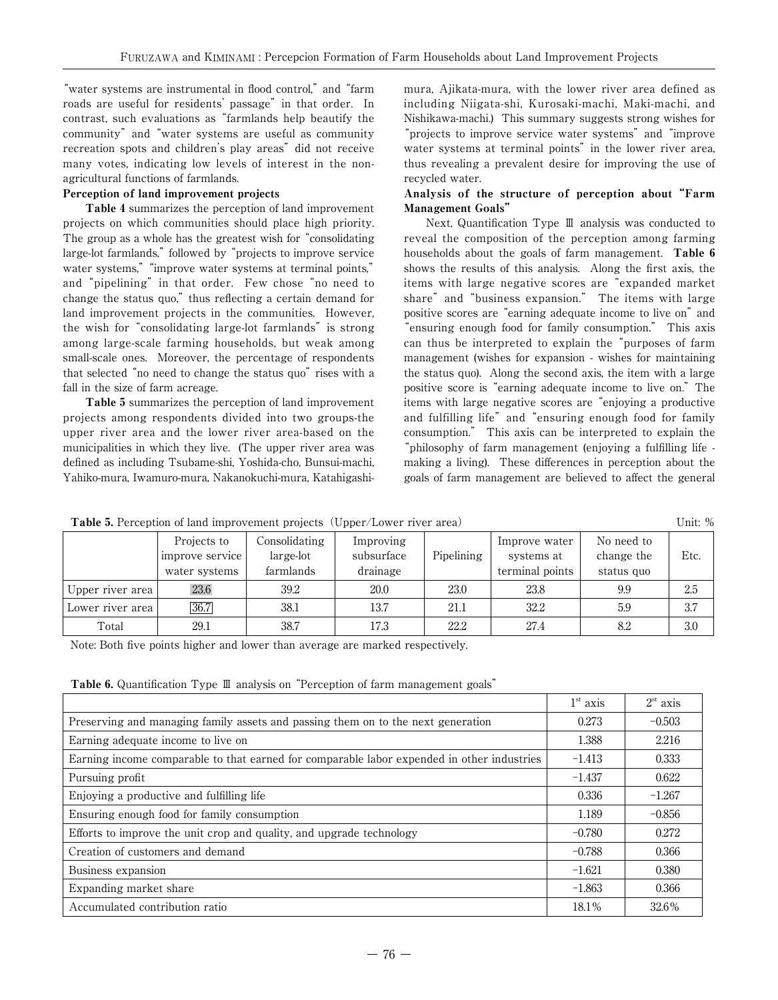"water systems are instrumental in flood control," and "farm roads are useful for residents' passage" in that order. In contrast, such evaluations as "farmlands help beautify the community" and "water systems are useful as community recreation spots and children's play areas" did not receive many votes, indicating low levels of interest in the nonagricultural functions of farmlands.

### Perception of land improvement projects

Table 4 summarizes the perception of land improvement projects on which communities should place high priority. The group as a whole has the greatest wish for "consolidating large-lot farmlands," followed by "projects to improve service water systems,""improve water systems at terminal points," and "pipelining" in that order. Few chose "no need to change the status quo," thus reflecting a certain demand for land improvement projects in the communities. However, the wish for "consolidating large-lot farmlands" is strong among large-scale farming households, but weak among small-scale ones. Moreover, the percentage of respondents that selected "no need to change the status quo" rises with a fall in the size of farm acreage.

Table 5 summarizes the perception of land improvement projects among respondents divided into two groups-the upper river area and the lower river area-based on the municipalities in which they live. (The upper river area was defined as including Tsubame-shi, Yoshida-cho, Bunsui-machi, Yahiko-mura, Iwamuro-mura, Nakanokuchi-mura, Katahigashimura, Ajikata-mura, with the lower river area defined as including Niigata-shi, Kurosaki-machi, Maki-machi, and Nishikawa-machi.) This summary suggests strong wishes for "projects to improve service water systems" and "improve water systems at terminal points" in the lower river area, thus revealing a prevalent desire for improving the use of recycled water.

## Analysis of the structure of perception about "Farm Management Goals"

Next, Quantification Type Ⅲ analysis was conducted to reveal the composition of the perception among farming households about the goals of farm management. Table 6 shows the results of this analysis. Along the first axis, the items with large negative scores are "expanded market share" and "business expansion." The items with large positive scores are "earning adequate income to live on" and "ensuring enough food for family consumption." This axis can thus be interpreted to explain the "purposes of farm management (wishes for expansion - wishes for maintaining the status quo). Along the second axis, the item with a large positive score is "earning adequate income to live on." The items with large negative scores are "enjoying a productive and fulfilling life" and "ensuring enough food for family consumption." This axis can be interpreted to explain the "philosophy of farm management (enjoying a fulfilling life making a living). These differences in perception about the goals of farm management are believed to affect the general

| <b>Table 5.</b> Perception of land improvement projects (Upper/Lower river area) |                                                 |                                         |                                     |            |                                                |                                        |      |  |  |  |  |
|----------------------------------------------------------------------------------|-------------------------------------------------|-----------------------------------------|-------------------------------------|------------|------------------------------------------------|----------------------------------------|------|--|--|--|--|
|                                                                                  | Projects to<br>improve service<br>water systems | Consolidating<br>large-lot<br>farmlands | Improving<br>subsurface<br>drainage | Pipelining | Improve water<br>systems at<br>terminal points | No need to<br>change the<br>status quo | Etc. |  |  |  |  |
| Upper river area                                                                 | 23.6                                            | 39.2                                    | 20.0                                | 23.0       | 23.8                                           | 9.9                                    | 2.5  |  |  |  |  |
| Lower river area                                                                 | 36.7                                            | 38.1                                    | 13.7                                | 21.1       | 32.2                                           | 5.9                                    | 3.7  |  |  |  |  |
| Total                                                                            | 29.1                                            | 38.7                                    | 17.3                                | 22.2       | 27.4                                           | 8.2                                    | 3.0  |  |  |  |  |

Note: Both five points higher and lower than average are marked respectively.

Table 6. Quantification Type Ⅲ analysis on "Perception of farm management goals"

|                                                                                            | 1 <sup>st</sup> axis | $2st$ axis |
|--------------------------------------------------------------------------------------------|----------------------|------------|
| Preserving and managing family assets and passing them on to the next generation           | 0.273                | $-0.503$   |
| Earning adequate income to live on                                                         | 1.388                | 2.216      |
| Earning income comparable to that earned for comparable labor expended in other industries | $-1.413$             | 0.333      |
| Pursuing profit                                                                            | $-1.437$             | 0.622      |
| Enjoying a productive and fulfilling life                                                  | 0.336                | $-1.267$   |
| Ensuring enough food for family consumption                                                | 1.189                | $-0.856$   |
| Efforts to improve the unit crop and quality, and upgrade technology                       | $-0.780$             | 0.272      |
| Creation of customers and demand                                                           | $-0.788$             | 0.366      |
| Business expansion                                                                         | $-1.621$             | 0.380      |
| Expanding market share                                                                     | $-1.863$             | 0.366      |
| Accumulated contribution ratio                                                             | 18.1%                | 32.6%      |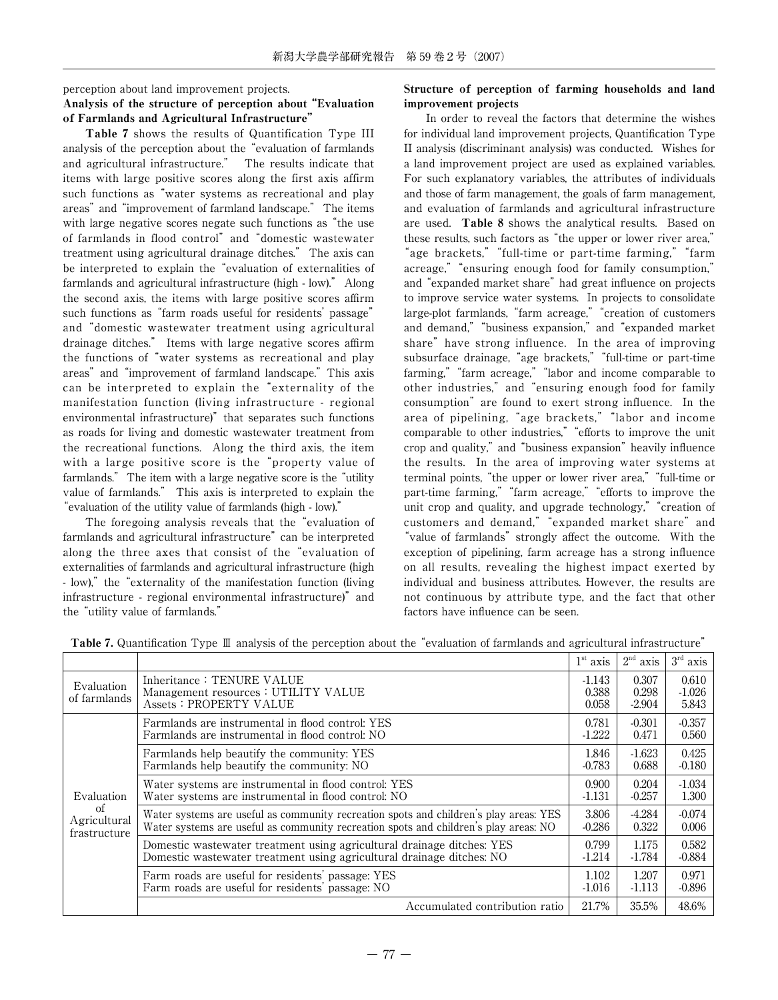perception about land improvement projects.

# Analysis of the structure of perception about "Evaluation of Farmlands and Agricultural Infrastructure"

Table 7 shows the results of Quantification Type III analysis of the perception about the "evaluation of farmlands and agricultural infrastructure." The results indicate that items with large positive scores along the first axis affirm such functions as "water systems as recreational and play areas" and "improvement of farmland landscape." The items with large negative scores negate such functions as "the use of farmlands in flood control" and "domestic wastewater treatment using agricultural drainage ditches." The axis can be interpreted to explain the "evaluation of externalities of farmlands and agricultural infrastructure (high - low)." Along the second axis, the items with large positive scores affirm such functions as "farm roads useful for residents' passage" and "domestic wastewater treatment using agricultural drainage ditches." Items with large negative scores affirm the functions of "water systems as recreational and play areas" and "improvement of farmland landscape." This axis can be interpreted to explain the "externality of the manifestation function (living infrastructure - regional environmental infrastructure)" that separates such functions as roads for living and domestic wastewater treatment from the recreational functions. Along the third axis, the item with a large positive score is the "property value of farmlands." The item with a large negative score is the "utility value of farmlands." This axis is interpreted to explain the "evaluation of the utility value of farmlands (high - low)."

The foregoing analysis reveals that the "evaluation of farmlands and agricultural infrastructure" can be interpreted along the three axes that consist of the "evaluation of externalities of farmlands and agricultural infrastructure (high - low)," the "externality of the manifestation function (living infrastructure - regional environmental infrastructure)" and the "utility value of farmlands."

## Structure of perception of farming households and land improvement projects

In order to reveal the factors that determine the wishes for individual land improvement projects, Quantification Type II analysis (discriminant analysis) was conducted. Wishes for a land improvement project are used as explained variables. For such explanatory variables, the attributes of individuals and those of farm management, the goals of farm management, and evaluation of farmlands and agricultural infrastructure are used. Table 8 shows the analytical results. Based on these results, such factors as "the upper or lower river area," "age brackets,""full-time or part-time farming,""farm acreage,""ensuring enough food for family consumption," and "expanded market share" had great influence on projects to improve service water systems. In projects to consolidate large-plot farmlands, "farm acreage," "creation of customers and demand,""business expansion," and "expanded market share" have strong influence. In the area of improving subsurface drainage, "age brackets,""full-time or part-time farming,""farm acreage,""labor and income comparable to other industries," and "ensuring enough food for family consumption" are found to exert strong influence. In the area of pipelining, "age brackets,""labor and income comparable to other industries," "efforts to improve the unit crop and quality," and "business expansion" heavily influence the results. In the area of improving water systems at terminal points, "the upper or lower river area,""full-time or part-time farming," "farm acreage," "efforts to improve the unit crop and quality, and upgrade technology," "creation of customers and demand,""expanded market share" and "value of farmlands" strongly affect the outcome. With the exception of pipelining, farm acreage has a strong influence on all results, revealing the highest impact exerted by individual and business attributes. However, the results are not continuous by attribute type, and the fact that other factors have influence can be seen.

|                                                  |                                                                                                                                                                               | 1 <sup>st</sup> axis     | 2 <sup>nd</sup><br>axis    | $3^{\rm rd}$<br>axis       |
|--------------------------------------------------|-------------------------------------------------------------------------------------------------------------------------------------------------------------------------------|--------------------------|----------------------------|----------------------------|
| Evaluation<br>of farmlands                       | Inheritance: TENURE VALUE<br>Management resources : UTILITY VALUE<br><b>Assets: PROPERTY VALUE</b>                                                                            | -1.143<br>0.388<br>0.058 | 0.307<br>0.298<br>$-2.904$ | 0.610<br>$-1.026$<br>5.843 |
|                                                  | Farmlands are instrumental in flood control: YES<br>Farmlands are instrumental in flood control: NO                                                                           | 0.781<br>$-1.222$        | $-0.301$<br>0.471          | $-0.357$<br>0.560          |
|                                                  | Farmlands help beautify the community: YES<br>Farmlands help beautify the community: NO                                                                                       | 1.846<br>$-0.783$        | $-1.623$<br>0.688          | 0.425<br>$-0.180$          |
| Evaluation<br>of<br>Agricultural<br>frastructure | Water systems are instrumental in flood control: YES<br>Water systems are instrumental in flood control: NO                                                                   | 0.900<br>$-1.131$        | 0.204<br>$-0.257$          | $-1.034$<br>1.300          |
|                                                  | Water systems are useful as community recreation spots and children's play areas: YES<br>Water systems are useful as community recreation spots and children's play areas: NO | 3.806<br>$-0.286$        | -4.284<br>0.322            | $-0.074$<br>0.006          |
|                                                  | Domestic wastewater treatment using agricultural drainage ditches: YES<br>Domestic wastewater treatment using agricultural drainage ditches: NO                               | 0.799<br>$-1.214$        | 1.175<br>-1.784            | 0.582<br>$-0.884$          |
|                                                  | Farm roads are useful for residents' passage: YES<br>Farm roads are useful for residents' passage: NO                                                                         | 1.102<br>$-1.016$        | 1.207<br>$-1.113$          | 0.971<br>$-0.896$          |
|                                                  | Accumulated contribution ratio                                                                                                                                                | 21.7%                    | 35.5%                      | 48.6%                      |

Table 7. Quantification Type Ⅲ analysis of the perception about the "evaluation of farmlands and agricultural infrastructure"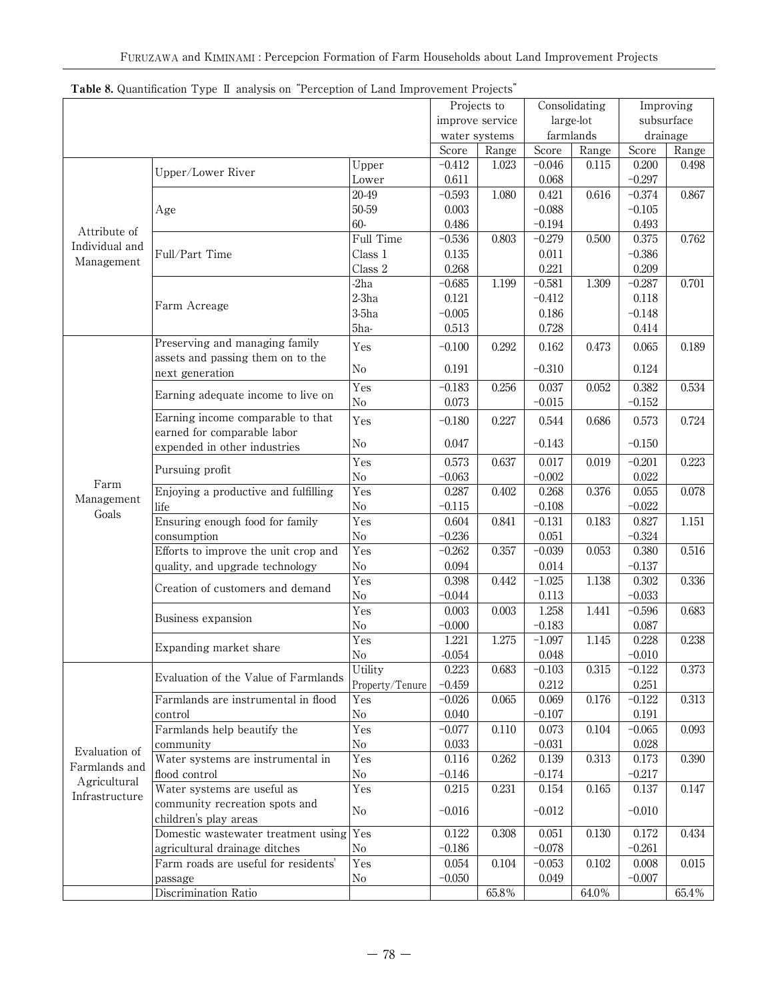|                | <b>I apie o.</b> Quantification Type in analysis on Terception of Land improvement Frojects |                 | Projects to |                 |           | Consolidating | Improving  |       |
|----------------|---------------------------------------------------------------------------------------------|-----------------|-------------|-----------------|-----------|---------------|------------|-------|
|                |                                                                                             |                 |             | improve service |           | large-lot     | subsurface |       |
|                |                                                                                             |                 |             | water systems   | farmlands |               | drainage   |       |
|                |                                                                                             |                 | Score       | Range           | Score     | Range         | Score      | Range |
|                |                                                                                             | Upper           | $-0.412$    | 1.023           | $-0.046$  | 0.115         | 0.200      | 0.498 |
|                | Upper/Lower River                                                                           | Lower           | 0.611       |                 | 0.068     |               | $-0.297$   |       |
|                |                                                                                             | 20-49           | $-0.593$    | 1.080           | 0.421     | 0.616         | $-0.374$   | 0.867 |
|                | Age                                                                                         | 50-59           | 0.003       |                 | $-0.088$  |               | $-0.105$   |       |
|                |                                                                                             | 60-             | 0.486       |                 | $-0.194$  |               | 0.493      |       |
| Attribute of   |                                                                                             | Full Time       | $-0.536$    | 0.803           | $-0.279$  | 0.500         | 0.375      | 0.762 |
| Individual and | Full/Part Time                                                                              | Class 1         | 0.135       |                 | 0.011     |               | $-0.386$   |       |
| Management     |                                                                                             | Class 2         | 0.268       |                 | 0.221     |               | 0.209      |       |
|                |                                                                                             | $-2ha$          | $-0.685$    | 1.199           | $-0.581$  | 1.309         | $-0.287$   | 0.701 |
|                |                                                                                             | $2-3ha$         | 0.121       |                 | $-0.412$  |               | 0.118      |       |
|                | Farm Acreage                                                                                | $3-5ha$         | $-0.005$    |                 | 0.186     |               | $-0.148$   |       |
|                |                                                                                             | 5ha-            | 0.513       |                 | 0.728     |               | 0.414      |       |
|                | Preserving and managing family                                                              |                 |             |                 |           |               |            |       |
|                | assets and passing them on to the                                                           | Yes             | $-0.100$    | 0.292           | 0.162     | 0.473         | 0.065      | 0.189 |
|                | next generation                                                                             | $\rm No$        | 0.191       |                 | $-0.310$  |               | 0.124      |       |
|                |                                                                                             | Yes             | $-0.183$    | 0.256           | 0.037     | 0.052         | 0.382      | 0.534 |
|                | Earning adequate income to live on                                                          | $\rm No$        | 0.073       |                 | $-0.015$  |               | $-0.152$   |       |
|                | Earning income comparable to that                                                           |                 |             |                 |           |               |            |       |
|                | earned for comparable labor                                                                 | Yes             | $-0.180$    | 0.227           | 0.544     | 0.686         | 0.573      | 0.724 |
|                | expended in other industries                                                                | No              | 0.047       |                 | $-0.143$  |               | $-0.150$   |       |
|                |                                                                                             | Yes             | 0.573       | 0.637           | 0.017     | 0.019         | $-0.201$   | 0.223 |
|                | Pursuing profit                                                                             | $\rm No$        | $-0.063$    |                 | $-0.002$  |               | 0.022      |       |
| Farm           | Enjoying a productive and fulfilling                                                        | Yes             | 0.287       | 0.402           | 0.268     | 0.376         | 0.055      | 0.078 |
| Management     | life                                                                                        | $\rm No$        | $-0.115$    |                 | $-0.108$  |               | $-0.022$   |       |
| Goals          | Ensuring enough food for family                                                             | Yes             | 0.604       | 0.841           | $-0.131$  | 0.183         | 0.827      | 1.151 |
|                |                                                                                             | $\rm No$        | $-0.236$    |                 | 0.051     |               | $-0.324$   |       |
|                | consumption<br>Efforts to improve the unit crop and                                         | Yes             | $-0.262$    | 0.357           | $-0.039$  | 0.053         | 0.380      | 0.516 |
|                | quality, and upgrade technology                                                             | $\rm No$        | 0.094       |                 | 0.014     |               | $-0.137$   |       |
|                |                                                                                             | Yes             | 0.398       | 0.442           | $-1.025$  | 1.138         | 0.302      | 0.336 |
|                | Creation of customers and demand                                                            | $\rm No$        | $-0.044$    |                 | 0.113     |               | $-0.033$   |       |
|                |                                                                                             | Yes             | 0.003       | 0.003           | 1.258     | 1.441         | $-0.596$   | 0.683 |
|                | Business expansion                                                                          | No              | $-0.000$    |                 | $-0.183$  |               | 0.087      |       |
|                |                                                                                             | Yes             | 1.221       | 1.275           | $-1.097$  | 1.145         | 0.228      | 0.238 |
|                | Expanding market share                                                                      | $\rm No$        | $-0.054$    |                 | 0.048     |               | $-0.010$   |       |
|                |                                                                                             | Utility         | 0.223       | 0.683           | $-0.103$  | 0.315         | $-0.122$   | 0.373 |
|                | Evaluation of the Value of Farmlands                                                        | Property/Tenure | $-0.459$    |                 | 0.212     |               | 0.251      |       |
|                | Farmlands are instrumental in flood                                                         | Yes             | $-0.026$    | 0.065           | 0.069     | 0.176         | $-0.122$   | 0.313 |
|                | control                                                                                     | $\rm No$        | 0.040       |                 | $-0.107$  |               | 0.191      |       |
|                | Farmlands help beautify the                                                                 | Yes             | $-0.077$    | 0.110           | 0.073     | 0.104         | $-0.065$   | 0.093 |
|                |                                                                                             | $\rm No$        | 0.033       |                 | $-0.031$  |               | 0.028      |       |
| Evaluation of  | community<br>Water systems are instrumental in                                              | Yes             | 0.116       | 0.262           | 0.139     | 0.313         | 0.173      | 0.390 |
| Farmlands and  | flood control                                                                               | $\rm No$        | $-0.146$    |                 | $-0.174$  |               | $-0.217$   |       |
| Agricultural   |                                                                                             |                 |             |                 |           |               |            |       |
| Infrastructure | Water systems are useful as                                                                 | Yes             | 0.215       | 0.231           | 0.154     | 0.165         | 0.137      | 0.147 |
|                | community recreation spots and                                                              | No              | $-0.016$    |                 | $-0.012$  |               | $-0.010$   |       |
|                | children's play areas                                                                       |                 |             |                 |           |               |            |       |
|                | Domestic wastewater treatment using Yes                                                     |                 | 0.122       | 0.308           | 0.051     | 0.130         | 0.172      | 0.434 |
|                | agricultural drainage ditches                                                               | No              | $-0.186$    |                 | $-0.078$  |               | $-0.261$   |       |
|                | Farm roads are useful for residents'                                                        | Yes             | 0.054       | 0.104           | $-0.053$  | 0.102         | 0.008      | 0.015 |
|                | passage                                                                                     | No              | $-0.050$    |                 | 0.049     |               | $-0.007$   |       |
|                | Discrimination Ratio                                                                        |                 |             | $65.8\,\%$      |           | 64.0%         |            | 65.4% |

# Table 8. Quantification Type II analysis on "Perception of Land Improvement Projects"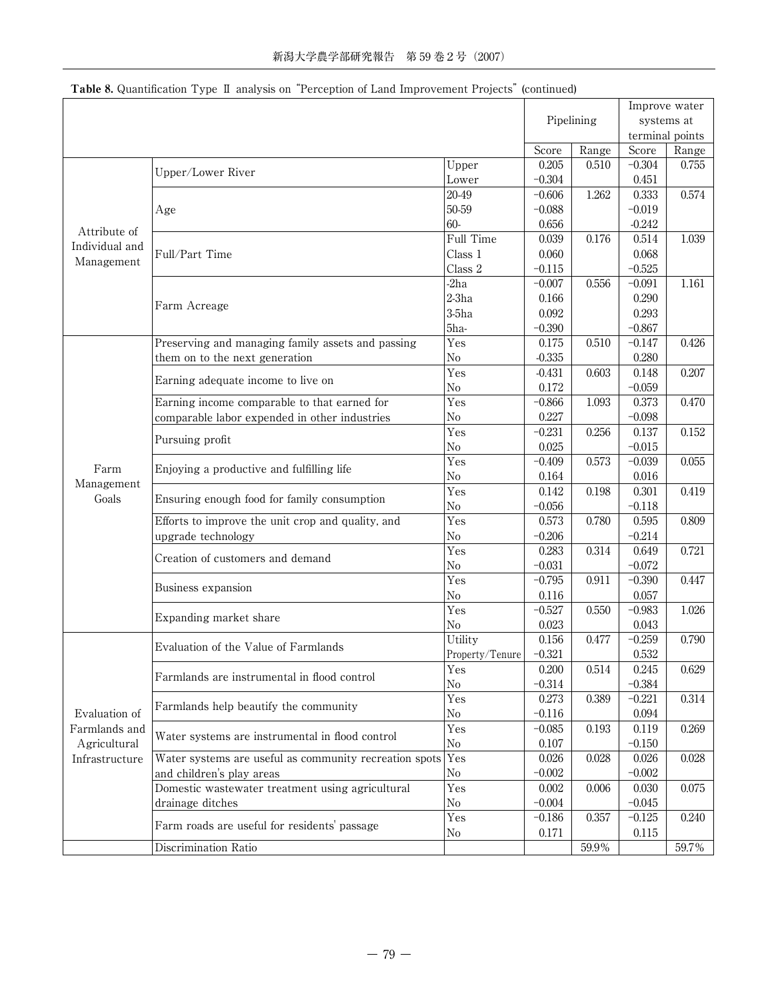| Pipelining<br>systems at<br>terminal points<br>Range<br>Score<br>Score<br>Range<br>0.205<br>0.510<br>$-0.304$<br>0.755<br>Upper<br>Upper/Lower River<br>$-0.304$<br>0.451<br>Lower<br>20-49<br>1.262<br>0.333<br>0.574<br>$-0.606$<br>50-59<br>$-0.088$<br>$-0.019$<br>Age<br>60-<br>$-0.242$<br>0.656<br>Attribute of<br>Full Time<br>0.039<br>1.039<br>0.176<br>0.514<br>Individual and<br>Class 1<br>Full/Part Time<br>0.060<br>0.068<br>Management<br>$-0.525$<br>Class 2<br>$-0.115$<br>$-2ha$<br>$-0.007$<br>1.161<br>0.556<br>$-0.091$<br>$2-3ha$<br>0.290<br>0.166<br>Farm Acreage<br>$3-5ha$<br>0.092<br>0.293<br>5ha-<br>$-0.390$<br>$-0.867$<br>Yes<br>0.426<br>Preserving and managing family assets and passing<br>0.175<br>0.510<br>$-0.147$<br>$-0.335$<br>0.280<br>them on to the next generation<br>N <sub>0</sub><br>Yes<br>0.207<br>$-0.431$<br>0.603<br>0.148<br>Earning adequate income to live on<br>No<br>0.172<br>$-0.059$<br>$-0.866$<br>1.093<br>Earning income comparable to that earned for<br>Yes<br>0.373<br>0.470<br>0.227<br>$\rm No$<br>$-0.098$<br>comparable labor expended in other industries<br>Yes<br>$-0.231$<br>0.256<br>0.137<br>0.152<br>Pursuing profit<br>$\rm No$<br>0.025<br>$-0.015$<br>Yes<br>0.573<br>$-0.039$<br>0.055<br>$-0.409$<br>Farm<br>Enjoying a productive and fulfilling life<br>$\rm No$<br>0.164<br>0.016<br>Management<br>Yes<br>0.142<br>0.198<br>0.419<br>0.301<br>Goals<br>Ensuring enough food for family consumption<br>N <sub>o</sub><br>$-0.056$<br>$-0.118$<br>Efforts to improve the unit crop and quality, and<br>Yes<br>0.573<br>0.780<br>0.595<br>0.809<br>$-0.206$<br>upgrade technology<br>No<br>$-0.214$<br>0.283<br>0.314<br>0.721<br>Yes<br>0.649<br>Creation of customers and demand<br>$\rm No$<br>$-0.031$<br>$-0.072$<br>Yes<br>$-0.390$<br>$-0.795$<br>0.911<br>0.447<br>Business expansion<br>No<br>0.116<br>0.057<br>Yes<br>$-0.527$<br>$-0.983$<br>1.026<br>0.550<br>Expanding market share<br>0.023<br>No<br>0.043<br>Utility<br>0.156<br>$-0.259$<br>0.790<br>0.477<br>Evaluation of the Value of Farmlands<br>$-0.321$<br>Property/Tenure<br>0.532<br>0.200<br>0.514<br>0.629<br>Yes<br>0.245<br>Farmlands are instrumental in flood control<br>$-0.314$<br>$-0.384$<br>No<br>$-0.221$<br>0.314<br>Yes<br>0.273<br>0.389<br>Farmlands help beautify the community<br>Evaluation of<br>$-0.116$<br>No<br>0.094<br>Farmlands and<br>Yes<br>$-0.085$<br>0.193<br>0.119<br>0.269<br>Water systems are instrumental in flood control<br>Agricultural<br>$\rm No$<br>0.107<br>$-0.150$<br>Yes<br>Water systems are useful as community recreation spots<br>0.026<br>0.028<br>0.026<br>0.028<br>Infrastructure<br>and children's play areas<br>No<br>$-0.002$<br>$-0.002$<br>Domestic wastewater treatment using agricultural<br>Yes<br>0.002<br>0.006<br>0.030<br>0.075<br>$-0.004$<br>drainage ditches<br>N <sub>0</sub><br>$-0.045$<br>Yes<br>$-0.186$<br>0.357<br>0.240<br>$-0.125$<br>Farm roads are useful for residents' passage<br>0.171<br>No<br>0.115 |  |                      |  | Improve water |  |       |
|------------------------------------------------------------------------------------------------------------------------------------------------------------------------------------------------------------------------------------------------------------------------------------------------------------------------------------------------------------------------------------------------------------------------------------------------------------------------------------------------------------------------------------------------------------------------------------------------------------------------------------------------------------------------------------------------------------------------------------------------------------------------------------------------------------------------------------------------------------------------------------------------------------------------------------------------------------------------------------------------------------------------------------------------------------------------------------------------------------------------------------------------------------------------------------------------------------------------------------------------------------------------------------------------------------------------------------------------------------------------------------------------------------------------------------------------------------------------------------------------------------------------------------------------------------------------------------------------------------------------------------------------------------------------------------------------------------------------------------------------------------------------------------------------------------------------------------------------------------------------------------------------------------------------------------------------------------------------------------------------------------------------------------------------------------------------------------------------------------------------------------------------------------------------------------------------------------------------------------------------------------------------------------------------------------------------------------------------------------------------------------------------------------------------------------------------------------------------------------------------------------------------------------------------------------------------------------------------------------------------------------------------------------------------------------------------------------------------------------------------------------------------------------------------------------------------------------------------------------------------------------------------------------------------------------------------------------------------------------------------------------------------------------------------------|--|----------------------|--|---------------|--|-------|
|                                                                                                                                                                                                                                                                                                                                                                                                                                                                                                                                                                                                                                                                                                                                                                                                                                                                                                                                                                                                                                                                                                                                                                                                                                                                                                                                                                                                                                                                                                                                                                                                                                                                                                                                                                                                                                                                                                                                                                                                                                                                                                                                                                                                                                                                                                                                                                                                                                                                                                                                                                                                                                                                                                                                                                                                                                                                                                                                                                                                                                                      |  |                      |  |               |  |       |
|                                                                                                                                                                                                                                                                                                                                                                                                                                                                                                                                                                                                                                                                                                                                                                                                                                                                                                                                                                                                                                                                                                                                                                                                                                                                                                                                                                                                                                                                                                                                                                                                                                                                                                                                                                                                                                                                                                                                                                                                                                                                                                                                                                                                                                                                                                                                                                                                                                                                                                                                                                                                                                                                                                                                                                                                                                                                                                                                                                                                                                                      |  |                      |  |               |  |       |
|                                                                                                                                                                                                                                                                                                                                                                                                                                                                                                                                                                                                                                                                                                                                                                                                                                                                                                                                                                                                                                                                                                                                                                                                                                                                                                                                                                                                                                                                                                                                                                                                                                                                                                                                                                                                                                                                                                                                                                                                                                                                                                                                                                                                                                                                                                                                                                                                                                                                                                                                                                                                                                                                                                                                                                                                                                                                                                                                                                                                                                                      |  |                      |  |               |  |       |
|                                                                                                                                                                                                                                                                                                                                                                                                                                                                                                                                                                                                                                                                                                                                                                                                                                                                                                                                                                                                                                                                                                                                                                                                                                                                                                                                                                                                                                                                                                                                                                                                                                                                                                                                                                                                                                                                                                                                                                                                                                                                                                                                                                                                                                                                                                                                                                                                                                                                                                                                                                                                                                                                                                                                                                                                                                                                                                                                                                                                                                                      |  |                      |  |               |  |       |
|                                                                                                                                                                                                                                                                                                                                                                                                                                                                                                                                                                                                                                                                                                                                                                                                                                                                                                                                                                                                                                                                                                                                                                                                                                                                                                                                                                                                                                                                                                                                                                                                                                                                                                                                                                                                                                                                                                                                                                                                                                                                                                                                                                                                                                                                                                                                                                                                                                                                                                                                                                                                                                                                                                                                                                                                                                                                                                                                                                                                                                                      |  |                      |  |               |  |       |
|                                                                                                                                                                                                                                                                                                                                                                                                                                                                                                                                                                                                                                                                                                                                                                                                                                                                                                                                                                                                                                                                                                                                                                                                                                                                                                                                                                                                                                                                                                                                                                                                                                                                                                                                                                                                                                                                                                                                                                                                                                                                                                                                                                                                                                                                                                                                                                                                                                                                                                                                                                                                                                                                                                                                                                                                                                                                                                                                                                                                                                                      |  |                      |  |               |  |       |
|                                                                                                                                                                                                                                                                                                                                                                                                                                                                                                                                                                                                                                                                                                                                                                                                                                                                                                                                                                                                                                                                                                                                                                                                                                                                                                                                                                                                                                                                                                                                                                                                                                                                                                                                                                                                                                                                                                                                                                                                                                                                                                                                                                                                                                                                                                                                                                                                                                                                                                                                                                                                                                                                                                                                                                                                                                                                                                                                                                                                                                                      |  |                      |  |               |  |       |
|                                                                                                                                                                                                                                                                                                                                                                                                                                                                                                                                                                                                                                                                                                                                                                                                                                                                                                                                                                                                                                                                                                                                                                                                                                                                                                                                                                                                                                                                                                                                                                                                                                                                                                                                                                                                                                                                                                                                                                                                                                                                                                                                                                                                                                                                                                                                                                                                                                                                                                                                                                                                                                                                                                                                                                                                                                                                                                                                                                                                                                                      |  |                      |  |               |  |       |
|                                                                                                                                                                                                                                                                                                                                                                                                                                                                                                                                                                                                                                                                                                                                                                                                                                                                                                                                                                                                                                                                                                                                                                                                                                                                                                                                                                                                                                                                                                                                                                                                                                                                                                                                                                                                                                                                                                                                                                                                                                                                                                                                                                                                                                                                                                                                                                                                                                                                                                                                                                                                                                                                                                                                                                                                                                                                                                                                                                                                                                                      |  |                      |  |               |  |       |
|                                                                                                                                                                                                                                                                                                                                                                                                                                                                                                                                                                                                                                                                                                                                                                                                                                                                                                                                                                                                                                                                                                                                                                                                                                                                                                                                                                                                                                                                                                                                                                                                                                                                                                                                                                                                                                                                                                                                                                                                                                                                                                                                                                                                                                                                                                                                                                                                                                                                                                                                                                                                                                                                                                                                                                                                                                                                                                                                                                                                                                                      |  |                      |  |               |  |       |
|                                                                                                                                                                                                                                                                                                                                                                                                                                                                                                                                                                                                                                                                                                                                                                                                                                                                                                                                                                                                                                                                                                                                                                                                                                                                                                                                                                                                                                                                                                                                                                                                                                                                                                                                                                                                                                                                                                                                                                                                                                                                                                                                                                                                                                                                                                                                                                                                                                                                                                                                                                                                                                                                                                                                                                                                                                                                                                                                                                                                                                                      |  |                      |  |               |  |       |
|                                                                                                                                                                                                                                                                                                                                                                                                                                                                                                                                                                                                                                                                                                                                                                                                                                                                                                                                                                                                                                                                                                                                                                                                                                                                                                                                                                                                                                                                                                                                                                                                                                                                                                                                                                                                                                                                                                                                                                                                                                                                                                                                                                                                                                                                                                                                                                                                                                                                                                                                                                                                                                                                                                                                                                                                                                                                                                                                                                                                                                                      |  |                      |  |               |  |       |
|                                                                                                                                                                                                                                                                                                                                                                                                                                                                                                                                                                                                                                                                                                                                                                                                                                                                                                                                                                                                                                                                                                                                                                                                                                                                                                                                                                                                                                                                                                                                                                                                                                                                                                                                                                                                                                                                                                                                                                                                                                                                                                                                                                                                                                                                                                                                                                                                                                                                                                                                                                                                                                                                                                                                                                                                                                                                                                                                                                                                                                                      |  |                      |  |               |  |       |
|                                                                                                                                                                                                                                                                                                                                                                                                                                                                                                                                                                                                                                                                                                                                                                                                                                                                                                                                                                                                                                                                                                                                                                                                                                                                                                                                                                                                                                                                                                                                                                                                                                                                                                                                                                                                                                                                                                                                                                                                                                                                                                                                                                                                                                                                                                                                                                                                                                                                                                                                                                                                                                                                                                                                                                                                                                                                                                                                                                                                                                                      |  |                      |  |               |  |       |
|                                                                                                                                                                                                                                                                                                                                                                                                                                                                                                                                                                                                                                                                                                                                                                                                                                                                                                                                                                                                                                                                                                                                                                                                                                                                                                                                                                                                                                                                                                                                                                                                                                                                                                                                                                                                                                                                                                                                                                                                                                                                                                                                                                                                                                                                                                                                                                                                                                                                                                                                                                                                                                                                                                                                                                                                                                                                                                                                                                                                                                                      |  |                      |  |               |  |       |
|                                                                                                                                                                                                                                                                                                                                                                                                                                                                                                                                                                                                                                                                                                                                                                                                                                                                                                                                                                                                                                                                                                                                                                                                                                                                                                                                                                                                                                                                                                                                                                                                                                                                                                                                                                                                                                                                                                                                                                                                                                                                                                                                                                                                                                                                                                                                                                                                                                                                                                                                                                                                                                                                                                                                                                                                                                                                                                                                                                                                                                                      |  |                      |  |               |  |       |
|                                                                                                                                                                                                                                                                                                                                                                                                                                                                                                                                                                                                                                                                                                                                                                                                                                                                                                                                                                                                                                                                                                                                                                                                                                                                                                                                                                                                                                                                                                                                                                                                                                                                                                                                                                                                                                                                                                                                                                                                                                                                                                                                                                                                                                                                                                                                                                                                                                                                                                                                                                                                                                                                                                                                                                                                                                                                                                                                                                                                                                                      |  |                      |  |               |  |       |
|                                                                                                                                                                                                                                                                                                                                                                                                                                                                                                                                                                                                                                                                                                                                                                                                                                                                                                                                                                                                                                                                                                                                                                                                                                                                                                                                                                                                                                                                                                                                                                                                                                                                                                                                                                                                                                                                                                                                                                                                                                                                                                                                                                                                                                                                                                                                                                                                                                                                                                                                                                                                                                                                                                                                                                                                                                                                                                                                                                                                                                                      |  |                      |  |               |  |       |
|                                                                                                                                                                                                                                                                                                                                                                                                                                                                                                                                                                                                                                                                                                                                                                                                                                                                                                                                                                                                                                                                                                                                                                                                                                                                                                                                                                                                                                                                                                                                                                                                                                                                                                                                                                                                                                                                                                                                                                                                                                                                                                                                                                                                                                                                                                                                                                                                                                                                                                                                                                                                                                                                                                                                                                                                                                                                                                                                                                                                                                                      |  |                      |  |               |  |       |
|                                                                                                                                                                                                                                                                                                                                                                                                                                                                                                                                                                                                                                                                                                                                                                                                                                                                                                                                                                                                                                                                                                                                                                                                                                                                                                                                                                                                                                                                                                                                                                                                                                                                                                                                                                                                                                                                                                                                                                                                                                                                                                                                                                                                                                                                                                                                                                                                                                                                                                                                                                                                                                                                                                                                                                                                                                                                                                                                                                                                                                                      |  |                      |  |               |  |       |
|                                                                                                                                                                                                                                                                                                                                                                                                                                                                                                                                                                                                                                                                                                                                                                                                                                                                                                                                                                                                                                                                                                                                                                                                                                                                                                                                                                                                                                                                                                                                                                                                                                                                                                                                                                                                                                                                                                                                                                                                                                                                                                                                                                                                                                                                                                                                                                                                                                                                                                                                                                                                                                                                                                                                                                                                                                                                                                                                                                                                                                                      |  |                      |  |               |  |       |
|                                                                                                                                                                                                                                                                                                                                                                                                                                                                                                                                                                                                                                                                                                                                                                                                                                                                                                                                                                                                                                                                                                                                                                                                                                                                                                                                                                                                                                                                                                                                                                                                                                                                                                                                                                                                                                                                                                                                                                                                                                                                                                                                                                                                                                                                                                                                                                                                                                                                                                                                                                                                                                                                                                                                                                                                                                                                                                                                                                                                                                                      |  |                      |  |               |  |       |
|                                                                                                                                                                                                                                                                                                                                                                                                                                                                                                                                                                                                                                                                                                                                                                                                                                                                                                                                                                                                                                                                                                                                                                                                                                                                                                                                                                                                                                                                                                                                                                                                                                                                                                                                                                                                                                                                                                                                                                                                                                                                                                                                                                                                                                                                                                                                                                                                                                                                                                                                                                                                                                                                                                                                                                                                                                                                                                                                                                                                                                                      |  |                      |  |               |  |       |
|                                                                                                                                                                                                                                                                                                                                                                                                                                                                                                                                                                                                                                                                                                                                                                                                                                                                                                                                                                                                                                                                                                                                                                                                                                                                                                                                                                                                                                                                                                                                                                                                                                                                                                                                                                                                                                                                                                                                                                                                                                                                                                                                                                                                                                                                                                                                                                                                                                                                                                                                                                                                                                                                                                                                                                                                                                                                                                                                                                                                                                                      |  |                      |  |               |  |       |
|                                                                                                                                                                                                                                                                                                                                                                                                                                                                                                                                                                                                                                                                                                                                                                                                                                                                                                                                                                                                                                                                                                                                                                                                                                                                                                                                                                                                                                                                                                                                                                                                                                                                                                                                                                                                                                                                                                                                                                                                                                                                                                                                                                                                                                                                                                                                                                                                                                                                                                                                                                                                                                                                                                                                                                                                                                                                                                                                                                                                                                                      |  |                      |  |               |  |       |
|                                                                                                                                                                                                                                                                                                                                                                                                                                                                                                                                                                                                                                                                                                                                                                                                                                                                                                                                                                                                                                                                                                                                                                                                                                                                                                                                                                                                                                                                                                                                                                                                                                                                                                                                                                                                                                                                                                                                                                                                                                                                                                                                                                                                                                                                                                                                                                                                                                                                                                                                                                                                                                                                                                                                                                                                                                                                                                                                                                                                                                                      |  |                      |  |               |  |       |
|                                                                                                                                                                                                                                                                                                                                                                                                                                                                                                                                                                                                                                                                                                                                                                                                                                                                                                                                                                                                                                                                                                                                                                                                                                                                                                                                                                                                                                                                                                                                                                                                                                                                                                                                                                                                                                                                                                                                                                                                                                                                                                                                                                                                                                                                                                                                                                                                                                                                                                                                                                                                                                                                                                                                                                                                                                                                                                                                                                                                                                                      |  |                      |  |               |  |       |
|                                                                                                                                                                                                                                                                                                                                                                                                                                                                                                                                                                                                                                                                                                                                                                                                                                                                                                                                                                                                                                                                                                                                                                                                                                                                                                                                                                                                                                                                                                                                                                                                                                                                                                                                                                                                                                                                                                                                                                                                                                                                                                                                                                                                                                                                                                                                                                                                                                                                                                                                                                                                                                                                                                                                                                                                                                                                                                                                                                                                                                                      |  |                      |  |               |  |       |
|                                                                                                                                                                                                                                                                                                                                                                                                                                                                                                                                                                                                                                                                                                                                                                                                                                                                                                                                                                                                                                                                                                                                                                                                                                                                                                                                                                                                                                                                                                                                                                                                                                                                                                                                                                                                                                                                                                                                                                                                                                                                                                                                                                                                                                                                                                                                                                                                                                                                                                                                                                                                                                                                                                                                                                                                                                                                                                                                                                                                                                                      |  |                      |  |               |  |       |
|                                                                                                                                                                                                                                                                                                                                                                                                                                                                                                                                                                                                                                                                                                                                                                                                                                                                                                                                                                                                                                                                                                                                                                                                                                                                                                                                                                                                                                                                                                                                                                                                                                                                                                                                                                                                                                                                                                                                                                                                                                                                                                                                                                                                                                                                                                                                                                                                                                                                                                                                                                                                                                                                                                                                                                                                                                                                                                                                                                                                                                                      |  |                      |  |               |  |       |
|                                                                                                                                                                                                                                                                                                                                                                                                                                                                                                                                                                                                                                                                                                                                                                                                                                                                                                                                                                                                                                                                                                                                                                                                                                                                                                                                                                                                                                                                                                                                                                                                                                                                                                                                                                                                                                                                                                                                                                                                                                                                                                                                                                                                                                                                                                                                                                                                                                                                                                                                                                                                                                                                                                                                                                                                                                                                                                                                                                                                                                                      |  |                      |  |               |  |       |
|                                                                                                                                                                                                                                                                                                                                                                                                                                                                                                                                                                                                                                                                                                                                                                                                                                                                                                                                                                                                                                                                                                                                                                                                                                                                                                                                                                                                                                                                                                                                                                                                                                                                                                                                                                                                                                                                                                                                                                                                                                                                                                                                                                                                                                                                                                                                                                                                                                                                                                                                                                                                                                                                                                                                                                                                                                                                                                                                                                                                                                                      |  |                      |  |               |  |       |
|                                                                                                                                                                                                                                                                                                                                                                                                                                                                                                                                                                                                                                                                                                                                                                                                                                                                                                                                                                                                                                                                                                                                                                                                                                                                                                                                                                                                                                                                                                                                                                                                                                                                                                                                                                                                                                                                                                                                                                                                                                                                                                                                                                                                                                                                                                                                                                                                                                                                                                                                                                                                                                                                                                                                                                                                                                                                                                                                                                                                                                                      |  |                      |  |               |  |       |
|                                                                                                                                                                                                                                                                                                                                                                                                                                                                                                                                                                                                                                                                                                                                                                                                                                                                                                                                                                                                                                                                                                                                                                                                                                                                                                                                                                                                                                                                                                                                                                                                                                                                                                                                                                                                                                                                                                                                                                                                                                                                                                                                                                                                                                                                                                                                                                                                                                                                                                                                                                                                                                                                                                                                                                                                                                                                                                                                                                                                                                                      |  |                      |  |               |  |       |
|                                                                                                                                                                                                                                                                                                                                                                                                                                                                                                                                                                                                                                                                                                                                                                                                                                                                                                                                                                                                                                                                                                                                                                                                                                                                                                                                                                                                                                                                                                                                                                                                                                                                                                                                                                                                                                                                                                                                                                                                                                                                                                                                                                                                                                                                                                                                                                                                                                                                                                                                                                                                                                                                                                                                                                                                                                                                                                                                                                                                                                                      |  |                      |  |               |  |       |
|                                                                                                                                                                                                                                                                                                                                                                                                                                                                                                                                                                                                                                                                                                                                                                                                                                                                                                                                                                                                                                                                                                                                                                                                                                                                                                                                                                                                                                                                                                                                                                                                                                                                                                                                                                                                                                                                                                                                                                                                                                                                                                                                                                                                                                                                                                                                                                                                                                                                                                                                                                                                                                                                                                                                                                                                                                                                                                                                                                                                                                                      |  |                      |  |               |  |       |
|                                                                                                                                                                                                                                                                                                                                                                                                                                                                                                                                                                                                                                                                                                                                                                                                                                                                                                                                                                                                                                                                                                                                                                                                                                                                                                                                                                                                                                                                                                                                                                                                                                                                                                                                                                                                                                                                                                                                                                                                                                                                                                                                                                                                                                                                                                                                                                                                                                                                                                                                                                                                                                                                                                                                                                                                                                                                                                                                                                                                                                                      |  |                      |  |               |  |       |
|                                                                                                                                                                                                                                                                                                                                                                                                                                                                                                                                                                                                                                                                                                                                                                                                                                                                                                                                                                                                                                                                                                                                                                                                                                                                                                                                                                                                                                                                                                                                                                                                                                                                                                                                                                                                                                                                                                                                                                                                                                                                                                                                                                                                                                                                                                                                                                                                                                                                                                                                                                                                                                                                                                                                                                                                                                                                                                                                                                                                                                                      |  |                      |  |               |  |       |
|                                                                                                                                                                                                                                                                                                                                                                                                                                                                                                                                                                                                                                                                                                                                                                                                                                                                                                                                                                                                                                                                                                                                                                                                                                                                                                                                                                                                                                                                                                                                                                                                                                                                                                                                                                                                                                                                                                                                                                                                                                                                                                                                                                                                                                                                                                                                                                                                                                                                                                                                                                                                                                                                                                                                                                                                                                                                                                                                                                                                                                                      |  |                      |  |               |  |       |
|                                                                                                                                                                                                                                                                                                                                                                                                                                                                                                                                                                                                                                                                                                                                                                                                                                                                                                                                                                                                                                                                                                                                                                                                                                                                                                                                                                                                                                                                                                                                                                                                                                                                                                                                                                                                                                                                                                                                                                                                                                                                                                                                                                                                                                                                                                                                                                                                                                                                                                                                                                                                                                                                                                                                                                                                                                                                                                                                                                                                                                                      |  |                      |  |               |  |       |
|                                                                                                                                                                                                                                                                                                                                                                                                                                                                                                                                                                                                                                                                                                                                                                                                                                                                                                                                                                                                                                                                                                                                                                                                                                                                                                                                                                                                                                                                                                                                                                                                                                                                                                                                                                                                                                                                                                                                                                                                                                                                                                                                                                                                                                                                                                                                                                                                                                                                                                                                                                                                                                                                                                                                                                                                                                                                                                                                                                                                                                                      |  |                      |  |               |  |       |
|                                                                                                                                                                                                                                                                                                                                                                                                                                                                                                                                                                                                                                                                                                                                                                                                                                                                                                                                                                                                                                                                                                                                                                                                                                                                                                                                                                                                                                                                                                                                                                                                                                                                                                                                                                                                                                                                                                                                                                                                                                                                                                                                                                                                                                                                                                                                                                                                                                                                                                                                                                                                                                                                                                                                                                                                                                                                                                                                                                                                                                                      |  |                      |  |               |  |       |
|                                                                                                                                                                                                                                                                                                                                                                                                                                                                                                                                                                                                                                                                                                                                                                                                                                                                                                                                                                                                                                                                                                                                                                                                                                                                                                                                                                                                                                                                                                                                                                                                                                                                                                                                                                                                                                                                                                                                                                                                                                                                                                                                                                                                                                                                                                                                                                                                                                                                                                                                                                                                                                                                                                                                                                                                                                                                                                                                                                                                                                                      |  |                      |  |               |  |       |
|                                                                                                                                                                                                                                                                                                                                                                                                                                                                                                                                                                                                                                                                                                                                                                                                                                                                                                                                                                                                                                                                                                                                                                                                                                                                                                                                                                                                                                                                                                                                                                                                                                                                                                                                                                                                                                                                                                                                                                                                                                                                                                                                                                                                                                                                                                                                                                                                                                                                                                                                                                                                                                                                                                                                                                                                                                                                                                                                                                                                                                                      |  |                      |  |               |  |       |
|                                                                                                                                                                                                                                                                                                                                                                                                                                                                                                                                                                                                                                                                                                                                                                                                                                                                                                                                                                                                                                                                                                                                                                                                                                                                                                                                                                                                                                                                                                                                                                                                                                                                                                                                                                                                                                                                                                                                                                                                                                                                                                                                                                                                                                                                                                                                                                                                                                                                                                                                                                                                                                                                                                                                                                                                                                                                                                                                                                                                                                                      |  |                      |  |               |  |       |
|                                                                                                                                                                                                                                                                                                                                                                                                                                                                                                                                                                                                                                                                                                                                                                                                                                                                                                                                                                                                                                                                                                                                                                                                                                                                                                                                                                                                                                                                                                                                                                                                                                                                                                                                                                                                                                                                                                                                                                                                                                                                                                                                                                                                                                                                                                                                                                                                                                                                                                                                                                                                                                                                                                                                                                                                                                                                                                                                                                                                                                                      |  |                      |  |               |  |       |
|                                                                                                                                                                                                                                                                                                                                                                                                                                                                                                                                                                                                                                                                                                                                                                                                                                                                                                                                                                                                                                                                                                                                                                                                                                                                                                                                                                                                                                                                                                                                                                                                                                                                                                                                                                                                                                                                                                                                                                                                                                                                                                                                                                                                                                                                                                                                                                                                                                                                                                                                                                                                                                                                                                                                                                                                                                                                                                                                                                                                                                                      |  |                      |  |               |  |       |
|                                                                                                                                                                                                                                                                                                                                                                                                                                                                                                                                                                                                                                                                                                                                                                                                                                                                                                                                                                                                                                                                                                                                                                                                                                                                                                                                                                                                                                                                                                                                                                                                                                                                                                                                                                                                                                                                                                                                                                                                                                                                                                                                                                                                                                                                                                                                                                                                                                                                                                                                                                                                                                                                                                                                                                                                                                                                                                                                                                                                                                                      |  |                      |  |               |  |       |
|                                                                                                                                                                                                                                                                                                                                                                                                                                                                                                                                                                                                                                                                                                                                                                                                                                                                                                                                                                                                                                                                                                                                                                                                                                                                                                                                                                                                                                                                                                                                                                                                                                                                                                                                                                                                                                                                                                                                                                                                                                                                                                                                                                                                                                                                                                                                                                                                                                                                                                                                                                                                                                                                                                                                                                                                                                                                                                                                                                                                                                                      |  |                      |  |               |  |       |
|                                                                                                                                                                                                                                                                                                                                                                                                                                                                                                                                                                                                                                                                                                                                                                                                                                                                                                                                                                                                                                                                                                                                                                                                                                                                                                                                                                                                                                                                                                                                                                                                                                                                                                                                                                                                                                                                                                                                                                                                                                                                                                                                                                                                                                                                                                                                                                                                                                                                                                                                                                                                                                                                                                                                                                                                                                                                                                                                                                                                                                                      |  |                      |  |               |  |       |
|                                                                                                                                                                                                                                                                                                                                                                                                                                                                                                                                                                                                                                                                                                                                                                                                                                                                                                                                                                                                                                                                                                                                                                                                                                                                                                                                                                                                                                                                                                                                                                                                                                                                                                                                                                                                                                                                                                                                                                                                                                                                                                                                                                                                                                                                                                                                                                                                                                                                                                                                                                                                                                                                                                                                                                                                                                                                                                                                                                                                                                                      |  | Discrimination Ratio |  | 59.9%         |  | 59.7% |

# Table 8. Quantification Type II analysis on "Perception of Land Improvement Projects" (continued)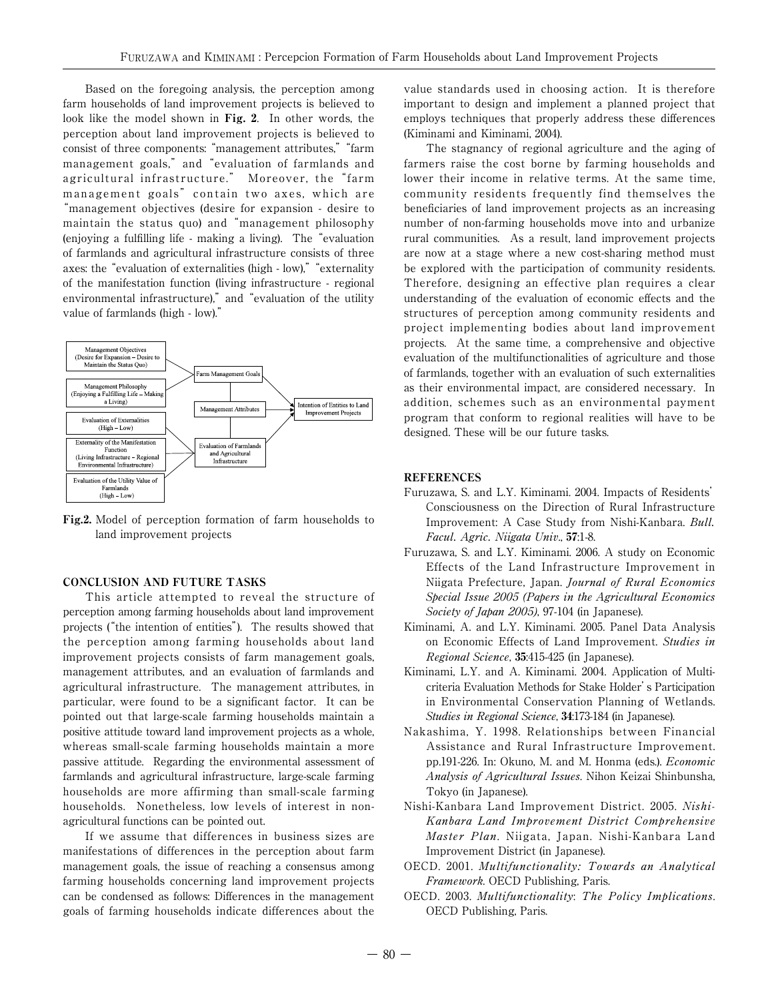Based on the foregoing analysis, the perception among farm households of land improvement projects is believed to look like the model shown in Fig. 2. In other words, the perception about land improvement projects is believed to consist of three components: "management attributes,""farm management goals," and "evaluation of farmlands and agricultural infrastructure." Moreover, the "farm management goals" contain two axes, which are "management objectives (desire for expansion - desire to maintain the status quo) and "management philosophy (enjoying a fulfilling life - making a living). The "evaluation of farmlands and agricultural infrastructure consists of three axes: the "evaluation of externalities (high - low)," "externality of the manifestation function (living infrastructure - regional environmental infrastructure)," and "evaluation of the utility value of farmlands (high - low)."



Fig.2. Model of perception formation of farm households to land improvement projects

### CONCLUSION AND FUTURE TASKS

This article attempted to reveal the structure of perception among farming households about land improvement projects ("the intention of entities"). The results showed that the perception among farming households about land improvement projects consists of farm management goals, management attributes, and an evaluation of farmlands and agricultural infrastructure. The management attributes, in particular, were found to be a significant factor. It can be pointed out that large-scale farming households maintain a positive attitude toward land improvement projects as a whole, whereas small-scale farming households maintain a more passive attitude. Regarding the environmental assessment of farmlands and agricultural infrastructure, large-scale farming households are more affirming than small-scale farming households. Nonetheless, low levels of interest in nonagricultural functions can be pointed out.

If we assume that differences in business sizes are manifestations of differences in the perception about farm management goals, the issue of reaching a consensus among farming households concerning land improvement projects can be condensed as follows: Differences in the management goals of farming households indicate differences about the value standards used in choosing action. It is therefore important to design and implement a planned project that employs techniques that properly address these differences (Kiminami and Kiminami, 2004).

The stagnancy of regional agriculture and the aging of farmers raise the cost borne by farming households and lower their income in relative terms. At the same time, community residents frequently find themselves the beneficiaries of land improvement projects as an increasing number of non-farming households move into and urbanize rural communities. As a result, land improvement projects are now at a stage where a new cost-sharing method must be explored with the participation of community residents. Therefore, designing an effective plan requires a clear understanding of the evaluation of economic effects and the structures of perception among community residents and project implementing bodies about land improvement projects. At the same time, a comprehensive and objective evaluation of the multifunctionalities of agriculture and those of farmlands, together with an evaluation of such externalities as their environmental impact, are considered necessary. In addition, schemes such as an environmental payment program that conform to regional realities will have to be designed. These will be our future tasks.

### **REFERENCES**

- Furuzawa, S. and L.Y. Kiminami. 2004. Impacts of Residents' Consciousness on the Direction of Rural Infrastructure Improvement: A Case Study from Nishi-Kanbara. Bull. Facul. Agric. Niigata Univ., 57:1-8.
- Furuzawa, S. and L.Y. Kiminami. 2006. A study on Economic Effects of the Land Infrastructure Improvement in Niigata Prefecture, Japan. Journal of Rural Economics Special Issue 2005 (Papers in the Agricultural Economics Society of Japan 2005), 97-104 (in Japanese).
- Kiminami, A. and L.Y. Kiminami. 2005. Panel Data Analysis on Economic Effects of Land Improvement. Studies in Regional Science, 35:415-425 (in Japanese).
- Kiminami, L.Y. and A. Kiminami. 2004. Application of Multicriteria Evaluation Methods for Stake Holder's Participation in Environmental Conservation Planning of Wetlands. Studies in Regional Science, 34:173-184 (in Japanese).
- Nakashima, Y. 1998. Relationships between Financial Assistance and Rural Infrastructure Improvement. pp.191-226. In: Okuno, M. and M. Honma (eds.). Economic Analysis of Agricultural Issues. Nihon Keizai Shinbunsha, Tokyo (in Japanese).
- Nishi-Kanbara Land Improvement District. 2005. Nishi-Kanbara Land Improvement District Comprehensive Master Plan. Niigata, Japan. Nishi-Kanbara Land Improvement District (in Japanese).
- OECD. 2001. Multifunctionality: Towards an Analytical Framework. OECD Publishing, Paris.
- OECD. 2003. Multifunctionality: The Policy Implications. OECD Publishing, Paris.